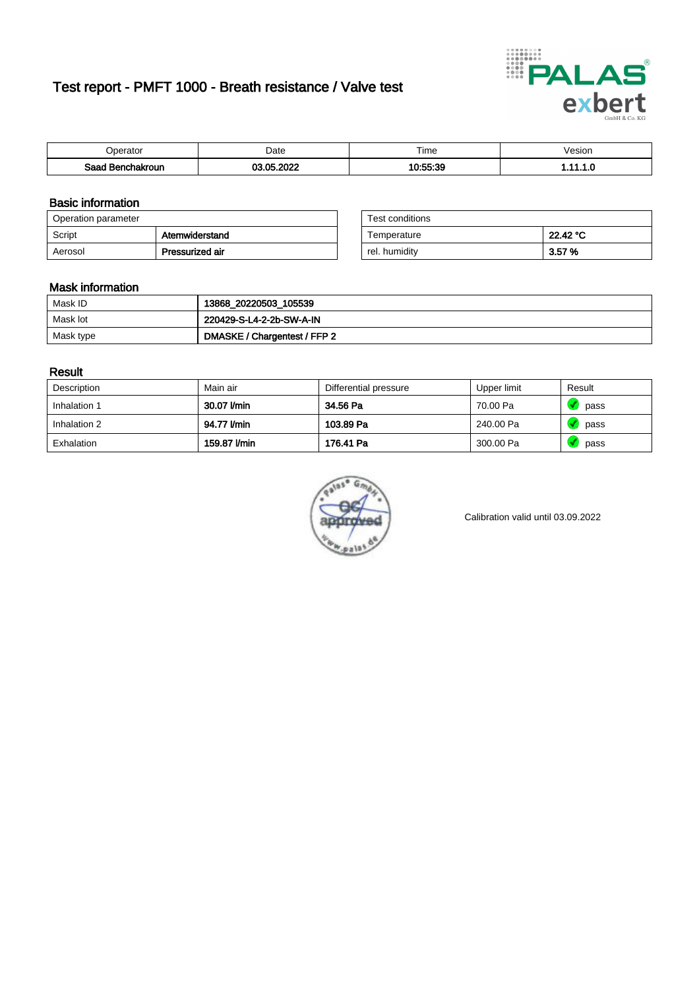# Test report - PMFT 1000 - Breath resistance / Valve test



| Jperator         | Date                    | $- \cdot$<br>Гіmе | esion? |
|------------------|-------------------------|-------------------|--------|
| Saad Benchakroun | <b>02.05.2022</b><br>w. | 40.55.9C<br>.     | .      |

### Basic information

| Operation parameter |                 | Test conditions |          |  |
|---------------------|-----------------|-----------------|----------|--|
| Script              | Atemwiderstand  | Temperature     | 22.42 °C |  |
| Aerosol             | Pressurized air | rel. humidity   | 3.57%    |  |

| Test conditions |          |
|-----------------|----------|
| Temperature     | 22.42 °C |
| rel. humidity   | 3.57%    |

#### Mask information

| Mask ID   | 13868_20220503_105539        |
|-----------|------------------------------|
| Mask lot  | 220429-S-L4-2-2b-SW-A-IN     |
| Mask type | DMASKE / Chargentest / FFP 2 |

### Result

| Description  | Main air     | Differential pressure | Upper limit | Result |
|--------------|--------------|-----------------------|-------------|--------|
| Inhalation 1 | 30.07 l/min  | 34.56 Pa              | 70.00 Pa    | pass   |
| Inhalation 2 | 94.77 l/min  | 103.89 Pa             | 240.00 Pa   | pass   |
| Exhalation   | 159.87 l/min | 176.41 Pa             | 300.00 Pa   | pass   |



Calibration valid until 03.09.2022